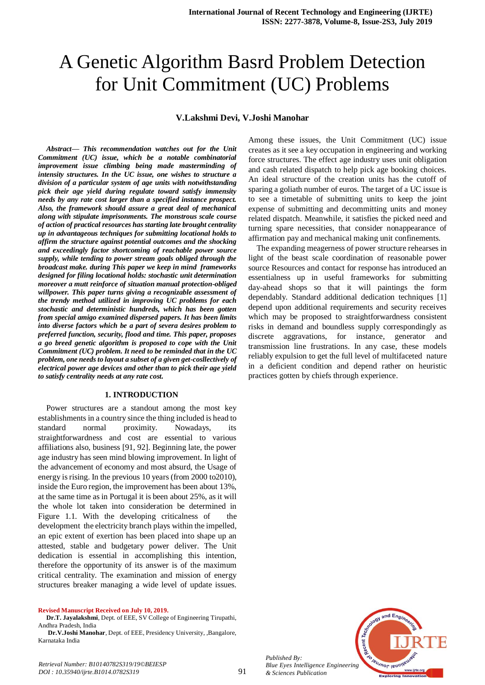# A Genetic Algorithm Basrd Problem Detection for Unit Commitment (UC) Problems

#### **V.Lakshmi Devi, V.Joshi Manohar**

*Abstract***—** *This recommendation watches out for the Unit Commitment (UC) issue, which be a notable combinatorial improvement issue climbing being made masterminding of intensity structures. In the UC issue, one wishes to structure a division of a particular system of age units with notwithstanding pick their age yield during regulate toward satisfy immensity needs by any rate cost larger than a specified instance prospect. Also, the framework should assure a great deal of mechanical along with stipulate imprisonments. The monstrous scale course of action of practical resources has starting late brought centrality up in advantageous techniques for submitting locational holds to affirm the structure against potential outcomes and the shocking and exceedingly factor shortcoming of reachable power source supply, while tending to power stream goals obliged through the broadcast make. during This paper we keep in mind frameworks designed for filing locational holds: stochastic unit determination moreover a mutt reinforce of situation manual protection-obliged willpower. This paper turns giving a recognizable assessment of the trendy method utilized in improving UC problems for each stochastic and deterministic hundreds, which has been gotten from special amigo examined dispersed papers. It has been limits into diverse factors which be a part of severa desires problem to preferred function, security, flood and time. This paper, proposes a go breed genetic algorithm is proposed to cope with the Unit Commitment (UC) problem. It need to be reminded that in the UC problem, one needs to layout a subset of a given get-cosllectively of electrical power age devices and other than to pick their age yield to satisfy centrality needs at any rate cost.* 

#### **1. INTRODUCTION**

Power structures are a standout among the most key establishments in a country since the thing included is head to standard normal proximity. Nowadays, its straightforwardness and cost are essential to various affiliations also, business [91, 92]. Beginning late, the power age industry has seen mind blowing improvement. In light of the advancement of economy and most absurd, the Usage of energy is rising. In the previous 10 years (from 2000 to2010), inside the Euro region, the improvement has been about 13%, at the same time as in Portugal it is been about 25%, as it will the whole lot taken into consideration be determined in Figure 1.1. With the developing criticalness of the development the electricity branch plays within the impelled, an epic extent of exertion has been placed into shape up an attested, stable and budgetary power deliver. The Unit dedication is essential in accomplishing this intention, therefore the opportunity of its answer is of the maximum critical centrality. The examination and mission of energy structures breaker managing a wide level of update issues.

**Revised Manuscript Received on July 10, 2019.**

*Retrieval Number: B10140782S319/19©BEIESP DOI : 10.35940/ijrte.B1014.0782S319*

**Dr.T. Jayalakshmi**, Dept. of EEE, SV College of Engineering Tirupathi, Andhra Pradesh, India

**Dr.V.Joshi Manohar**, Dept. of EEE, Presidency University, ,Bangalore, Karnataka India

Among these issues, the Unit Commitment (UC) issue creates as it see a key occupation in engineering and working force structures. The effect age industry uses unit obligation and cash related dispatch to help pick age booking choices. An ideal structure of the creation units has the cutoff of sparing a goliath number of euros. The target of a UC issue is to see a timetable of submitting units to keep the joint expense of submitting and decommitting units and money related dispatch. Meanwhile, it satisfies the picked need and turning spare necessities, that consider nonappearance of affirmation pay and mechanical making unit confinements.

The expanding meagerness of power structure rehearses in light of the beast scale coordination of reasonable power source Resources and contact for response has introduced an essentialness up in useful frameworks for submitting day-ahead shops so that it will paintings the form dependably. Standard additional dedication techniques [1] depend upon additional requirements and security receives which may be proposed to straightforwardness consistent risks in demand and boundless supply correspondingly as discrete aggravations, for instance, generator and transmission line frustrations. In any case, these models reliably expulsion to get the full level of multifaceted nature in a deficient condition and depend rather on heuristic practices gotten by chiefs through experience.



*Published By: Blue Eyes Intelligence Engineering & Sciences Publication* 

91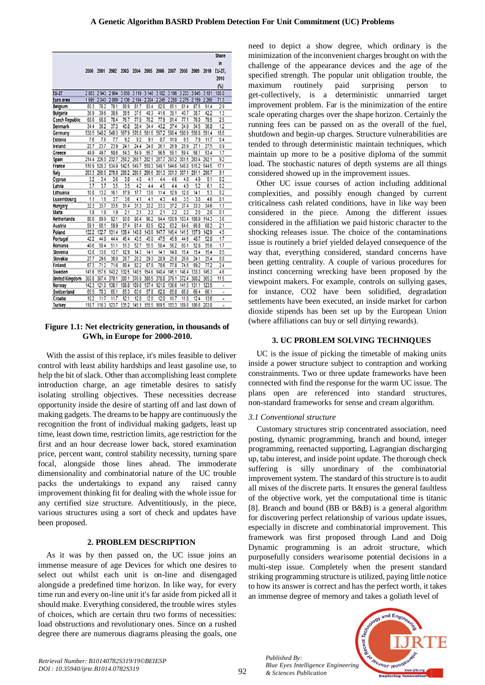|                       | 2000  | 2001  | 2002  | 2003    | 2004    | 2005    | 2006    | 2007    | 2008    | 2009    | 2010    | Share<br>in<br>EU-27.<br>2010<br>(%) |
|-----------------------|-------|-------|-------|---------|---------|---------|---------|---------|---------|---------|---------|--------------------------------------|
| <b>EU-27</b>          | 2863  | 2943  | 2964  | 3 0 5 0 | 3 1 1 9 | 3 140   | 3 182   | 3 196   | 3 2 0 3 | 3045    | 3 181   | 100.0                                |
| Euro area             | 1995  | 2040  | 2069  | 2 13 8  | 2 194   | 2 2 0 4 | 2 2 4 5 | 2 2 5 8 | 2275    | 2 1 5 9 | 2 2 6 8 | 713                                  |
| Belgium               | 80.3  | 76.2  | 78.1  | 80.9    | 81.7    | 83.4    | 82.0    | 85.1    | 81.4    | 87.5    | 91.4    | 29                                   |
| Bulgaria              | 36.9  | 39.6  | 38.6  | 38.5    | 37.5    | 40.3    | 41.6    | 39.1    | 40.7    | 38.7    | 422     | 1.3                                  |
| <b>Czech Republic</b> | 68.0  | 68.8  | 70.4  | 76.7    | 77.9    | 76.2    | 77.9    | 81.4    | 77.1    | 76.0    | 79.5    | 25                                   |
| Denmark               | 34.4  | 36.2  | 37.3  | 43.8    | 38.4    | 34.4    | 43.2    | 37.4    | 34.9    | 34.5    | 36.8    | 1.2                                  |
| Germany               | 538.5 | 5482  | 5493  | 567.9   | 5768    | 581.6   | 597.2   | 598.4   | 5989    | 556.8   | 591.4   | 18.6                                 |
| Estonia               | 7.6   | 7.6   | 7.7   | 9.2     | 9.2     | 9.1     | 8.7     | 11.0    | 9.5     | 7.9     | 11.7    | 0.4                                  |
| Ireland               | 22.7  | 23.7  | 23.9  | 24.1    | 24.4    | 248     | 26.1    | 26.9    | 28.9    | 27.1    | 27.5    | 0.9                                  |
| Greece                | 49.9  | 49.7  | 50.6  | 543     | 54.9    | 55.7    | 56.5    | 59.1    | 59.4    | 56.1    | 53.4    | 1.7                                  |
| Spain                 | 214.4 | 226.0 | 232.7 | 2502    | 268.7   | 282.1   | 287.7   | 293.2   | 301.5   | 283.4   | 292.1   | 9.2                                  |
| France                | 516.9 | 526.3 | 534.9 | 5425    | 549.7   | 5503    | 549.1   | 544.6   | 548.8   | 515.2   | 544.5   | 17.1                                 |
| Italy                 | 263.3 | 266.0 | 270.8 | 2802    | 290.0   | 290.6   | 301.3   | 301.3   | 307.1   | 281.1   | 290.7   | 9.1                                  |
| Cyprus                | 3.2   | 3.4   | 3.6   | 3.8     | 4.0     | 4.1     | 44      | 4.6     | 4.8     | 49      | 5.1     | 0.2                                  |
| Latvia                | 3.7   | 3.7   | 3.5   | 3.5     | 42      | 4.4     | 4.5     | 4.4     | 4.9     | 5.2     | 6.1     | 0.2                                  |
| Lithuania             | 10.0  | 13.2  | 16.1  | 17.9    | 17.7    | 13.6    | 11.4    | 12.9    | 12.8    | 14.1    | 5.3     | 0.2                                  |
| Luxembourg            | 1.1   | 1.6   | 3.7   | 3.6     | 4.1     | 4.1     | 4.3     | 4.0     | 3.5     | 3.8     | 4.6     | 0.1                                  |
| Hungary               | 32.3  | 33.7  | 33.5  | 31.4    | 31.3    | 33.2    | 33.3    | 37.2    | 37.4    | 33.3    | 34.6    | 1.1                                  |
| Malta                 | 1.8   | 1.8   | 1.9   | 21      | 2.1     | 22      | 2.1     | 22      | 22      | 2.0     | 2.0     | 0.1                                  |
| Netherlands           | 86.0  | 89.9  | 92.1  | 93.0    | 98.4    | 96.2    | 94.4    | 100.9   | 103.4   | 108.9   | 114.3   | 3.6                                  |
| Austria               | 59.1  | 60.1  | 59.9  | 57.4    | 61.4    | 63.5    | 622     | 63.2    | 64.6    | 66.8    | 68.3    | 2.1                                  |
| Poland                | 132.2 | 132.7 | 131.4 | 138.4   | 140.8   | 143.6   | 147.7   | 145.4   | 141.5   | 137.9   | 142.9   | 4.5                                  |
| Portugal              | 422   | 44.8  | 44.4  | 45.4    | 43.5    | 45.0    | 47.5    | 45.9    | 44.6    | 48.7    | 528     | 1.7                                  |
| Romania               | 48.6  | 50.4  | 51.1  | 51.3    | 52.7    | 55.5    | 58.4    | 56.2    | 60.1    | 52.8    | 55.6    | 1.7                                  |
| Slovenia              | 12.8  | 13.6  | 13.7  | 12.9    | 14.3    | 14.1    | 14.1    | 14.0    | 15.4    | 15.4    | 15.4    | 0.5                                  |
| Slovakia              | 27.7  | 29.6  | 30.0  | 28.7    | 28.2    | 29.3    | 28.9    | 25.8    | 26.6    | 24.1    | 25.4    | 0.8                                  |
| Finland               | 67.3  | 71.2  | 71.6  | 80.4    | 82.2    | 67.8    | 78.6    | 77.8    | 74.5    | 69.2    | 77.2    | 2.4                                  |
| Sweden                | 141.6 | 157.6 | 1432  | 1325    | 1485    | 154.6   | 140.4   | 145.1   | 146.4   | 1333    | 1453    | 4.6                                  |
| <b>United Kingdom</b> | 360.8 | 367.4 | 370.1 | 380.1   | 3769    | 380 5   | 378.8   | 379.1   | 372.4   | 3602    | 365.3   | 11.5                                 |
| Norway                | 142.3 | 121.0 | 130.1 | 106.8   | 109.8   | 137.4   | 121.0   | 136.6   | 141.5   | 131.1   | 123.5   |                                      |
| Switzerland           | 65.5  | 70.3  | 65.1  | 65.3    | 63.6    | 57.8    | 620     | 65.8    | 66.8    | 66.4    | 66.1    | ٠                                    |
| Croatia               | 10.2  | 11.7  | 11.7  | 12.1    | 12.8    | 12.0    | 12.0    | 11.7    | 11.8    | 12.4    | 13.6    | ٠                                    |
| Turkey                | 1187  | 116.3 | 123.7 | 1352    | 145.1   | 1555    | 169.5   | 1833    | 1898    | 186.6   | 203.0   | ė                                    |

## **Figure 1.1: Net electricity generation, in thousands of GWh, in Europe for 2000-2010.**

With the assist of this replace, it's miles feasible to deliver control with least ability hardships and least gasoline use, to help the bit of slack. Other than accomplishing least complete introduction charge, an age timetable desires to satisfy isolating strolling objectives. These necessities decrease opportunity inside the desire of starting off and last down of making gadgets. The dreams to be happy are continuously the recognition the front of individual making gadgets, least up time, least down time, restriction limits, age restriction for the first and an hour decrease lower back, stored examination price, percent want, control stability necessity, turning spare focal, alongside those lines ahead. The immoderate dimensionality and combinatorial nature of the UC trouble packs the undertakings to expand any raised canny improvement thinking fit for dealing with the whole issue for any certified size structure. Adventitiously, in the piece, various structures using a sort of check and updates have been proposed.

# **2. PROBLEM DESCRIPTION**

As it was by then passed on, the UC issue joins an immense measure of age Devices for which one desires to select out whilst each unit is on-line and disengaged alongside a predefined time horizon. In like way, for every time run and every on-line unit it's far aside from picked all it should make. Everything considered, the trouble wires styles of choices, which are certain thru two forms of necessities: load obstructions and revolutionary ones. Since on a rushed degree there are numerous diagrams pleasing the goals, one need to depict a show degree, which ordinary is the minimization of the inconvenient charges brought on with the challenge of the appearance devices and the age of the specified strength. The popular unit obligation trouble, the maximum routinely paid surprising person to get-collectively, is a deterministic unmarried target improvement problem. Far is the minimization of the entire scale operating charges over the shape horizon. Certainly the running fees can be passed on as the overall of the fuel, shutdown and begin-up charges. Structure vulnerabilities are tended to through deterministic maintain techniques, which maintain up more to be a positive diploma of the summit load. The stochastic natures of depth systems are all things considered showed up in the improvement issues.

Other UC issue courses of action including additional complexities, and possibly enough changed by current criticalness cash related conditions, have in like way been considered in the piece. Among the different issues considered in the affiliation we paid historic character to the shocking releases issue. The choice of the contaminations issue is routinely a brief yielded delayed consequence of the way that, everything considered, standard concerns have been getting centrality. A couple of various procedures for instinct concerning wrecking have been proposed by the viewpoint makers. For example, controls on sullying gases, for instance, CO2 have been solidified, degradation settlements have been executed, an inside market for carbon dioxide stipends has been set up by the European Union (where affiliations can buy or sell dirtying rewards).

# **3. UC PROBLEM SOLVING TECHNIQUES**

UC is the issue of picking the timetable of making units inside a power structure subject to contraption and working constrainments. Two or three update frameworks have been connected with find the response for the warm UC issue. The plans open are referenced into standard structures, non-standard frameworks for sense and cream algorithm.

## *3.1 Conventional structure*

Customary structures strip concentrated association, need posting, dynamic programming, branch and bound, integer programming, reenacted supporting, Lagrangian discharging up, tabu interest, and inside point update. The thorough check suffering is silly unordinary of the combinatorial improvement system. The standard of this structure is to audit all mixes of the discrete parts. It ensures the general faultless of the objective work, yet the computational time is titanic [8]. Branch and bound (BB or B&B) is a general algorithm for discovering perfect relationship of various update issues, especially in discrete and combinatorial improvement. This framework was first proposed through Land and Doig Dynamic programming is an adroit structure, which purposefully considers wearisome potential decisions in a multi-step issue. Completely when the present standard striking programming structure is utilized, paying little notice to how its answer is correct and has the perfect worth, it takes an immense degree of memory and takes a goliath level of

*Published By: Blue Eyes Intelligence Engineering & Sciences Publication* 

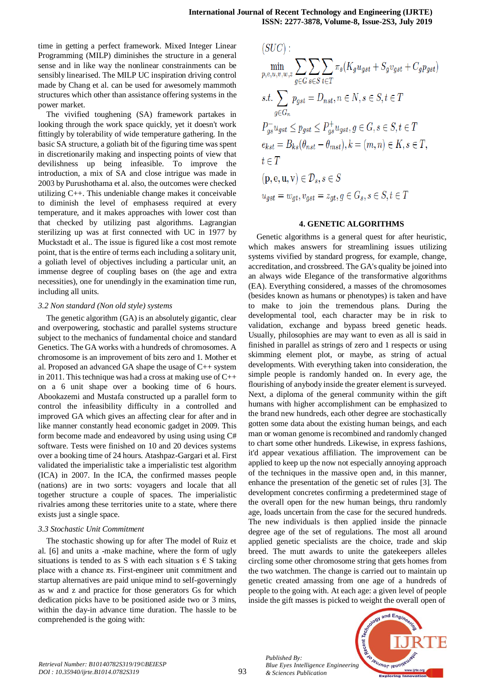time in getting a perfect framework. Mixed Integer Linear Programming (MILP) diminishes the structure in a general sense and in like way the nonlinear constrainments can be sensibly linearised. The MILP UC inspiration driving control made by Chang et al. can be used for awesomely mammoth structures which other than assistance offering systems in the power market.

The vivified toughening (SA) framework partakes in looking through the work space quickly, yet it doesn't work fittingly by tolerability of wide temperature gathering. In the basic SA structure, a goliath bit of the figuring time was spent in discretionarily making and inspecting points of view that devilishness up being infeasible. To improve the introduction, a mix of SA and close intrigue was made in 2003 by Purushothama et al. also, the outcomes were checked utilizing C++. This undeniable change makes it conceivable to diminish the level of emphasess required at every temperature, and it makes approaches with lower cost than that checked by utilizing past algorithms. Lagrangian sterilizing up was at first connected with UC in 1977 by Muckstadt et al.. The issue is figured like a cost most remote point, that is the entire of terms each including a solitary unit, a goliath level of objectives including a particular unit, an immense degree of coupling bases on (the age and extra necessities), one for unendingly in the examination time run, including all units.

#### *3.2 Non standard (Non old style) systems*

The genetic algorithm (GA) is an absolutely gigantic, clear and overpowering, stochastic and parallel systems structure subject to the mechanics of fundamental choice and standard Genetics. The GA works with a hundreds of chromosomes. A chromosome is an improvement of bits zero and 1. Mother et al. Proposed an advanced GA shape the usage of C++ system in 2011. This technique was had a cross at making use of C++ on a 6 unit shape over a booking time of 6 hours. Abookazemi and Mustafa constructed up a parallel form to control the infeasibility difficulty in a controlled and improved GA which gives an affecting clear for after and in like manner constantly head economic gadget in 2009. This form become made and endeavored by using using using C# software. Tests were finished on 10 and 20 devices systems over a booking time of 24 hours. Atashpaz-Gargari et al. First validated the imperialistic take a imperialistic test algorithm (ICA) in 2007. In the ICA, the confirmed masses people (nations) are in two sorts: voyagers and locale that all together structure a couple of spaces. The imperialistic rivalries among these territories unite to a state, where there exists just a single space.

## *3.3 Stochastic Unit Commitment*

The stochastic showing up for after The model of Ruiz et al. [6] and units a -make machine, where the form of ugly situations is tended to as S with each situation s  $\epsilon$  S taking place with a chance πs. First-engineer unit commitment and startup alternatives are paid unique mind to self-governingly as w and z and practice for those generators Gs for which dedication picks have to be positioned aside two or 3 mins, within the day-in advance time duration. The hassle to be comprehended is the going with:

$$
(SUC): \min_{p,e,u,v,w,z} \sum_{g \in G} \sum_{s \in S} \sum_{t \in T} \pi_s (K_g u_{gst} + S_g v_{gst} + C_g p_{gst})
$$
  
s.t. 
$$
\sum_{g \in G_n} p_{gst} = D_{nst}, n \in N, s \in S, t \in T
$$
  

$$
P_{gs}^- u_{gst} \leq p_{gst} \leq P_{gs}^+ u_{gst}, g \in G, s \in S, t \in T
$$
  

$$
e_{kst} = B_{ks} (\theta_{nst} - \theta_{mst}), k = (m, n) \in K, s \in T,
$$
  

$$
t \in T
$$
  

$$
(p, e, u, v) \in D_s, s \in S
$$
  

$$
u_{gst} = w_{gt}, v_{gst} = z_{gt}, g \in G_s, s \in S, t \in T
$$

#### **4. GENETIC ALGORITHMS**

Genetic algorithms is a general quest for after heuristic, which makes answers for streamlining issues utilizing systems vivified by standard progress, for example, change, accreditation, and crossbreed. The GA's quality be joined into an always wide Elegance of the transformative algorithms (EA). Everything considered, a masses of the chromosomes (besides known as humans or phenotypes) is taken and have to make to join the tremendous plans. During the developmental tool, each character may be in risk to validation, exchange and bypass breed genetic heads. Usually, philosophies are may want to even as all is said in finished in parallel as strings of zero and 1 respects or using skimming element plot, or maybe, as string of actual developments. With everything taken into consideration, the simple people is randomly handed on. In every age, the flourishing of anybody inside the greater element is surveyed. Next, a diploma of the general community within the gift humans with higher accomplishment can be emphasized to the brand new hundreds, each other degree are stochastically gotten some data about the existing human beings, and each man or woman genome is recombined and randomly changed to chart some other hundreds. Likewise, in express fashions, it'd appear vexatious affiliation. The improvement can be applied to keep up the now not especially annoying approach of the techniques in the massive open and, in this manner, enhance the presentation of the genetic set of rules [3]. The development concretes confirming a predetermined stage of the overall open for the new human beings, thru randomly age, loads uncertain from the case for the secured hundreds. The new individuals is then applied inside the pinnacle degree age of the set of regulations. The most all around applied genetic specialists are the choice, trade and skip breed. The mutt awards to unite the gatekeepers alleles circling some other chromosome string that gets homes from the two watchmen. The change is carried out to maintain up genetic created amassing from one age of a hundreds of people to the going with. At each age: a given level of people inside the gift masses is picked to weight the overall open of

and Eng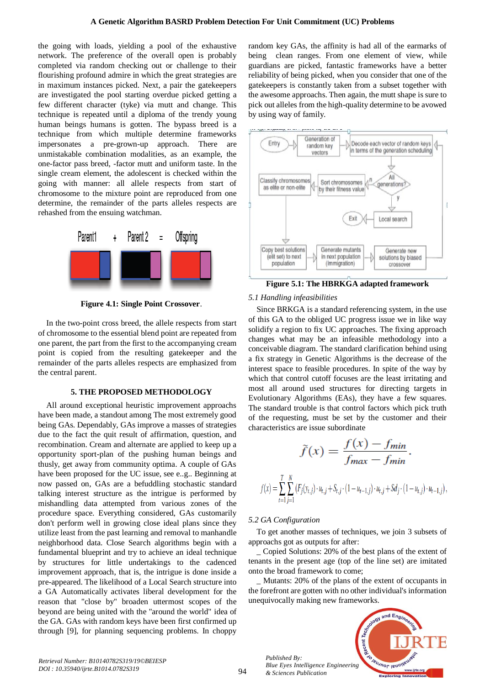the going with loads, yielding a pool of the exhaustive network. The preference of the overall open is probably completed via random checking out or challenge to their flourishing profound admire in which the great strategies are in maximum instances picked. Next, a pair the gatekeepers are investigated the pool starting overdue picked getting a few different character (tyke) via mutt and change. This technique is repeated until a diploma of the trendy young human beings humans is gotten. The bypass breed is a technique from which multiple determine frameworks impersonates a pre-grown-up approach. There are unmistakable combination modalities, as an example, the one-factor pass breed, -factor mutt and uniform taste. In the single cream element, the adolescent is checked within the going with manner: all allele respects from start of chromosome to the mixture point are reproduced from one determine, the remainder of the parts alleles respects are rehashed from the ensuing watchman.



**Figure 4.1: Single Point Crossover**.

In the two-point cross breed, the allele respects from start of chromosome to the essential blend point are repeated from one parent, the part from the first to the accompanying cream point is copied from the resulting gatekeeper and the remainder of the parts alleles respects are emphasized from the central parent.

#### **5. THE PROPOSED METHODOLOGY**

All around exceptional heuristic improvement approachs have been made, a standout among The most extremely good being GAs. Dependably, GAs improve a masses of strategies due to the fact the quit result of affirmation, question, and recombination. Cream and alternate are applied to keep up a opportunity sport-plan of the pushing human beings and thusly, get away from community optima. A couple of GAs have been proposed for the UC issue, see e..g.. Beginning at now passed on, GAs are a befuddling stochastic standard talking interest structure as the intrigue is performed by mishandling data attempted from various zones of the procedure space. Everything considered, GAs customarily don't perform well in growing close ideal plans since they utilize least from the past learning and removal to manhandle neighborhood data. Close Search algorithms begin with a fundamental blueprint and try to achieve an ideal technique by structures for little undertakings to the cadenced improvement approach, that is, the intrigue is done inside a pre-appeared. The likelihood of a Local Search structure into a GA Automatically activates liberal development for the reason that "close by" broaden uttermost scopes of the beyond are being united with the "around the world" idea of the GA. GAs with random keys have been first confirmed up through [9], for planning sequencing problems. In choppy

random key GAs, the affinity is had all of the earmarks of being clean ranges. From one element of view, while guardians are picked, fantastic frameworks have a better reliability of being picked, when you consider that one of the gatekeepers is constantly taken from a subset together with the awesome approachs. Then again, the mutt shape is sure to pick out alleles from the high-quality determine to be avowed by using way of family.



**Figure 5.1: The HBRKGA adapted framework**

## *5.1 Handling infeasibilities*

Since BRKGA is a standard referencing system, in the use of this GA to the obliged UC progress issue we in like way solidify a region to fix UC approaches. The fixing approach changes what may be an infeasible methodology into a conceivable diagram. The standard clarification behind using a fix strategy in Genetic Algorithms is the decrease of the interest space to feasible procedures. In spite of the way by which that control cutoff focuses are the least irritating and most all around used structures for directing targets in Evolutionary Algorithms (EAs), they have a few squares. The standard trouble is that control factors which pick truth of the requesting, must be set by the customer and their characteristics are issue subordinate

$$
\widetilde{f}(x) = \frac{f(x) - f_{min}}{f_{max} - f_{min}}.
$$

$$
\widetilde{f}(x) = \sum_{t=1}^{T} \sum_{j=1}^{N} (F_j(y_{t,j}) \cdot u_{t,j} + S_{t,j} \cdot (1 - u_{t-1,j}) \cdot u_{t,j} + S_{d_j} \cdot (1 - u_{t,j}) \cdot u_{t-1,j}),
$$

## *5.2 GA Configuration*

1

*Published By:*

*& Sciences Publication* 

To get another masses of techniques, we join 3 subsets of approachs got as outputs for after:

\_ Copied Solutions: 20% of the best plans of the extent of tenants in the present age (top of the line set) are imitated onto the broad framework to come;

\_ Mutants: 20% of the plans of the extent of occupants in the forefront are gotten with no other individual's information unequivocally making new frameworks.

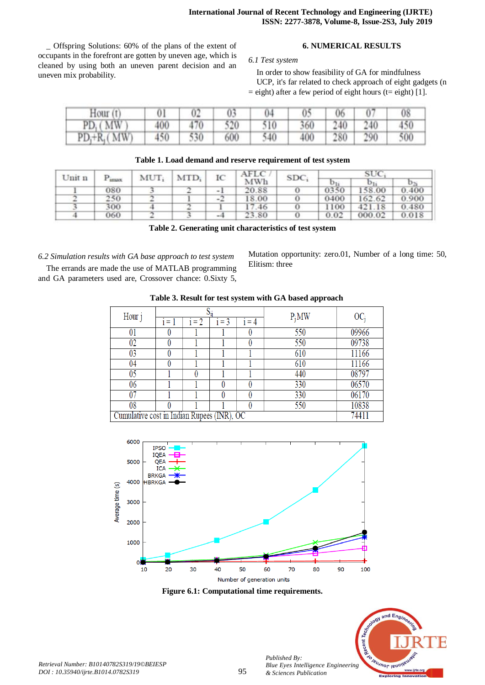\_ Offspring Solutions: 60% of the plans of the extent of occupants in the forefront are gotten by uneven age, which is cleaned by using both an uneven parent decision and an uneven mix probability.

# **6. NUMERICAL RESULTS**

# *6.1 Test system*

In order to show feasibility of GA for mindfulness UCP, it's far related to check approach of eight gadgets (n  $=$  eight) after a few period of eight hours (t= eight) [1].

| Hour(t)        |     | 02  | 03  | 04  | 0 <sup>5</sup> | 06  |     | 08  |
|----------------|-----|-----|-----|-----|----------------|-----|-----|-----|
| $PD_i(MW)$     | 400 | 470 | 520 | 510 | 360            | 240 | 240 | 450 |
| $PD_i+R_i(MW)$ | 450 | 530 | 600 | 540 | 400            | 280 | 290 | 500 |

| Table 1. Load demand and reserve requirement of test system |  |  |  |
|-------------------------------------------------------------|--|--|--|
|-------------------------------------------------------------|--|--|--|

| Unit n<br>$P_{\text{imax}}$ |     | $MUT_i$ | $MTD_i$ | IC   | AFLC  | <b>SDC</b> | SUC   |                |       |
|-----------------------------|-----|---------|---------|------|-------|------------|-------|----------------|-------|
|                             |     |         |         | MWh  |       |            | $U_1$ | D <sub>2</sub> |       |
|                             | 080 |         |         | $-1$ | 20.88 |            | 0350  | 158.00         | 0.400 |
|                             | 250 |         |         | $-2$ | 18.00 |            | 0400  | 162.62         | 0.900 |
|                             | 300 |         |         |      | 17.46 |            | 1100  | 421.18         | 0.480 |
|                             | 060 |         |         | $-4$ | 23.80 |            | 0.02  | 000.02         | 0.018 |

**Table 2. Generating unit characteristics of test system**

*6.2 Simulation results with GA base approach to test system* The errands are made the use of MATLAB programming

and GA parameters used are, Crossover chance: 0.Sixty 5,

Mutation opportunity: zero.01, Number of a long time: 50, Elitism: three

| Tubic of Result for test system with G11 bused upprouch |      |         |         |         |          |        |  |  |  |  |
|---------------------------------------------------------|------|---------|---------|---------|----------|--------|--|--|--|--|
| Hour j                                                  |      |         |         |         | $P_i MW$ | $OC_i$ |  |  |  |  |
|                                                         | 1= 1 | $i = 2$ | $i = 3$ | $i = 4$ |          |        |  |  |  |  |
| 01                                                      |      |         |         |         | 550      | 09966  |  |  |  |  |
| $02\,$                                                  |      |         |         |         | 550      | 09738  |  |  |  |  |
| 03                                                      |      |         |         |         | 610      | 11166  |  |  |  |  |
| 04                                                      |      |         |         |         | 610      | 11166  |  |  |  |  |
| 05                                                      |      |         |         |         | 440      | 08797  |  |  |  |  |
| 06                                                      |      |         |         |         | 330      | 06570  |  |  |  |  |
| 07                                                      |      |         |         |         | 330      | 06170  |  |  |  |  |
| 08                                                      |      |         |         |         | 550      | 10838  |  |  |  |  |
| Cumulative cost in Indian Rupees (INR), OC              |      |         |         |         |          |        |  |  |  |  |

**Table 3. Result for test system with GA based approach**



**Figure 6.1: Computational time requirements.**



*Published By:*

*& Sciences Publication*